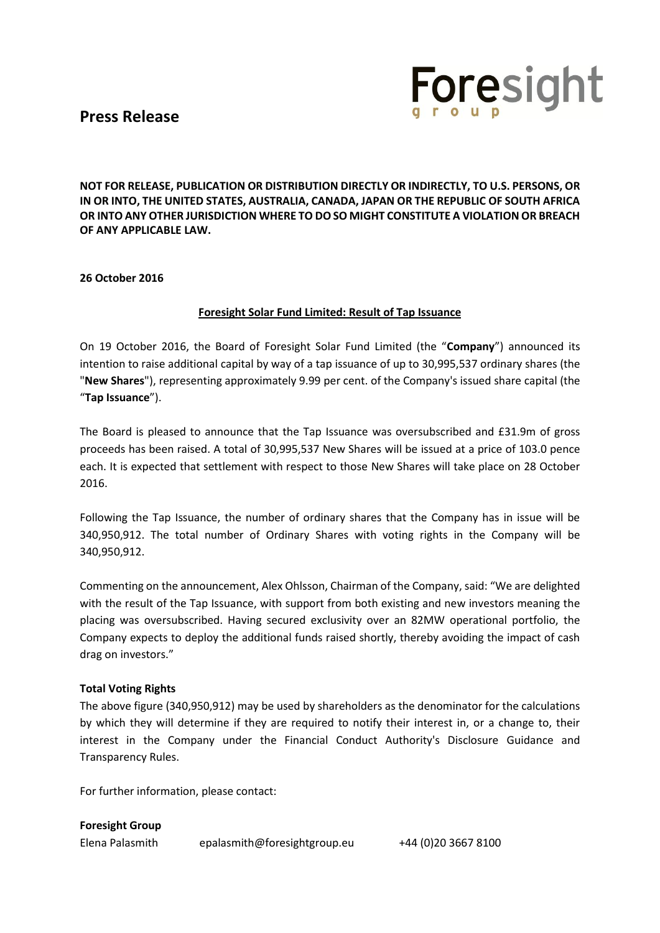## **Press Release**



**NOT FOR RELEASE, PUBLICATION OR DISTRIBUTION DIRECTLY OR INDIRECTLY, TO U.S. PERSONS, OR IN OR INTO, THE UNITED STATES, AUSTRALIA, CANADA, JAPAN OR THE REPUBLIC OF SOUTH AFRICA OR INTO ANY OTHER JURISDICTION WHERE TO DO SO MIGHT CONSTITUTE A VIOLATION OR BREACH OF ANY APPLICABLE LAW.**

### **26 October 2016**

### **Foresight Solar Fund Limited: Result of Tap Issuance**

On 19 October 2016, the Board of Foresight Solar Fund Limited (the "**Company**") announced its intention to raise additional capital by way of a tap issuance of up to 30,995,537 ordinary shares (the "**New Shares**"), representing approximately 9.99 per cent. of the Company's issued share capital (the "**Tap Issuance**").

The Board is pleased to announce that the Tap Issuance was oversubscribed and £31.9m of gross proceeds has been raised. A total of 30,995,537 New Shares will be issued at a price of 103.0 pence each. It is expected that settlement with respect to those New Shares will take place on 28 October 2016.

Following the Tap Issuance, the number of ordinary shares that the Company has in issue will be 340,950,912. The total number of Ordinary Shares with voting rights in the Company will be 340,950,912.

Commenting on the announcement, Alex Ohlsson, Chairman of the Company, said: "We are delighted with the result of the Tap Issuance, with support from both existing and new investors meaning the placing was oversubscribed. Having secured exclusivity over an 82MW operational portfolio, the Company expects to deploy the additional funds raised shortly, thereby avoiding the impact of cash drag on investors."

## **Total Voting Rights**

The above figure (340,950,912) may be used by shareholders as the denominator for the calculations by which they will determine if they are required to notify their interest in, or a change to, their interest in the Company under the Financial Conduct Authority's Disclosure Guidance and Transparency Rules.

For further information, please contact:

**Foresight Group**

Elena Palasmith epalasmith@foresightgroup.eu +44 (0)20 3667 8100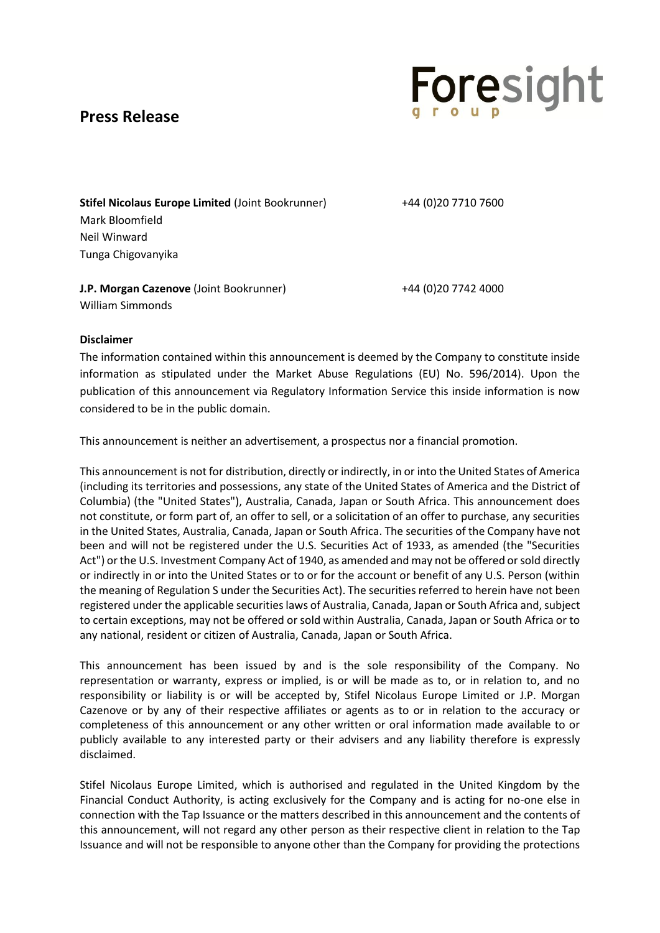# **Press Release**



**Stifel Nicolaus Europe Limited** (Joint Bookrunner) +44 (0)20 7710 7600 Mark Bloomfield Neil Winward Tunga Chigovanyika

**J.P. Morgan Cazenove** (Joint Bookrunner)  $+44$  (0)20 7742 4000 William Simmonds

#### **Disclaimer**

The information contained within this announcement is deemed by the Company to constitute inside information as stipulated under the Market Abuse Regulations (EU) No. 596/2014). Upon the publication of this announcement via Regulatory Information Service this inside information is now considered to be in the public domain.

This announcement is neither an advertisement, a prospectus nor a financial promotion.

This announcement is not for distribution, directly or indirectly, in or into the United States of America (including its territories and possessions, any state of the United States of America and the District of Columbia) (the "United States"), Australia, Canada, Japan or South Africa. This announcement does not constitute, or form part of, an offer to sell, or a solicitation of an offer to purchase, any securities in the United States, Australia, Canada, Japan or South Africa. The securities of the Company have not been and will not be registered under the U.S. Securities Act of 1933, as amended (the "Securities Act") or the U.S. Investment Company Act of 1940, as amended and may not be offered or sold directly or indirectly in or into the United States or to or for the account or benefit of any U.S. Person (within the meaning of Regulation S under the Securities Act). The securities referred to herein have not been registered under the applicable securities laws of Australia, Canada, Japan or South Africa and, subject to certain exceptions, may not be offered or sold within Australia, Canada, Japan or South Africa or to any national, resident or citizen of Australia, Canada, Japan or South Africa.

This announcement has been issued by and is the sole responsibility of the Company. No representation or warranty, express or implied, is or will be made as to, or in relation to, and no responsibility or liability is or will be accepted by, Stifel Nicolaus Europe Limited or J.P. Morgan Cazenove or by any of their respective affiliates or agents as to or in relation to the accuracy or completeness of this announcement or any other written or oral information made available to or publicly available to any interested party or their advisers and any liability therefore is expressly disclaimed.

Stifel Nicolaus Europe Limited, which is authorised and regulated in the United Kingdom by the Financial Conduct Authority, is acting exclusively for the Company and is acting for no-one else in connection with the Tap Issuance or the matters described in this announcement and the contents of this announcement, will not regard any other person as their respective client in relation to the Tap Issuance and will not be responsible to anyone other than the Company for providing the protections